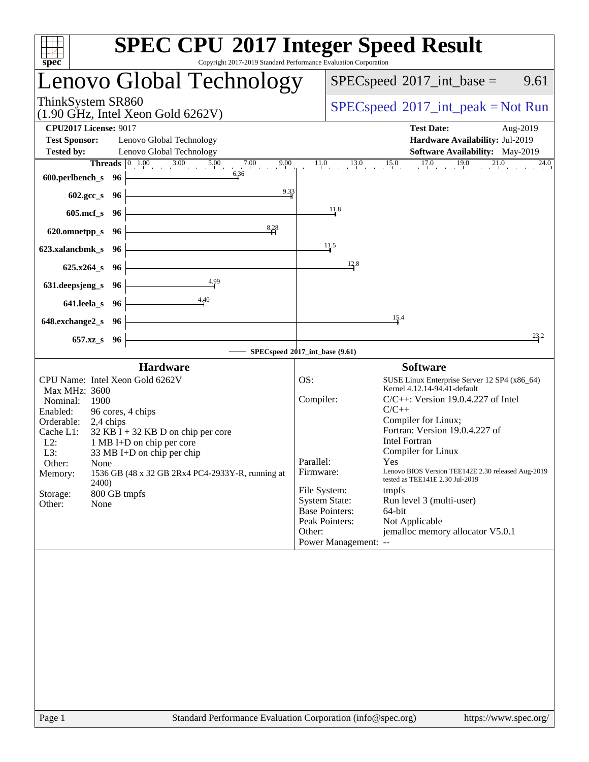| $spec^*$                                                                                                                                                                                                                                                                                                                                                                                                        | <b>SPEC CPU®2017 Integer Speed Result</b><br>Copyright 2017-2019 Standard Performance Evaluation Corporation                                                                                                                                                                                                                                                                                                                                                                                                                                                                                                    |
|-----------------------------------------------------------------------------------------------------------------------------------------------------------------------------------------------------------------------------------------------------------------------------------------------------------------------------------------------------------------------------------------------------------------|-----------------------------------------------------------------------------------------------------------------------------------------------------------------------------------------------------------------------------------------------------------------------------------------------------------------------------------------------------------------------------------------------------------------------------------------------------------------------------------------------------------------------------------------------------------------------------------------------------------------|
| Lenovo Global Technology                                                                                                                                                                                                                                                                                                                                                                                        | $SPEC speed^{\circ}2017\_int\_base =$<br>9.61                                                                                                                                                                                                                                                                                                                                                                                                                                                                                                                                                                   |
| ThinkSystem SR860<br>$(1.90 \text{ GHz}, \text{Intel Xeon Gold } 6262 \text{V})$                                                                                                                                                                                                                                                                                                                                | $SPEC speed^{\circ}2017\_int\_peak = Not Run$                                                                                                                                                                                                                                                                                                                                                                                                                                                                                                                                                                   |
| <b>CPU2017 License: 9017</b><br><b>Test Sponsor:</b><br>Lenovo Global Technology<br><b>Tested by:</b><br>Lenovo Global Technology                                                                                                                                                                                                                                                                               | <b>Test Date:</b><br>Aug-2019<br>Hardware Availability: Jul-2019<br><b>Software Availability:</b> May-2019                                                                                                                                                                                                                                                                                                                                                                                                                                                                                                      |
| <b>Threads</b> $\begin{bmatrix} 0 & 1.00 & 3.00 & 5.00 & 7.00 & 9.00 \end{bmatrix}$<br>6.36<br>600.perlbench_s 96                                                                                                                                                                                                                                                                                               | $11.0$ $13.0$ $15.0$ $17.0$ $19.0$ $21.0$<br>24.0                                                                                                                                                                                                                                                                                                                                                                                                                                                                                                                                                               |
| 9.33<br>602.gcc_s 96                                                                                                                                                                                                                                                                                                                                                                                            |                                                                                                                                                                                                                                                                                                                                                                                                                                                                                                                                                                                                                 |
| 605.mcf_s 96  <br>8,28<br>620.omnetpp_s $96$                                                                                                                                                                                                                                                                                                                                                                    | 11.8                                                                                                                                                                                                                                                                                                                                                                                                                                                                                                                                                                                                            |
| 623.xalancbmk_s 96                                                                                                                                                                                                                                                                                                                                                                                              | 11.5                                                                                                                                                                                                                                                                                                                                                                                                                                                                                                                                                                                                            |
| $625.x264_s$ 96                                                                                                                                                                                                                                                                                                                                                                                                 | 12.8                                                                                                                                                                                                                                                                                                                                                                                                                                                                                                                                                                                                            |
| 4.99<br>631.deepsjeng_s $96$<br>$\frac{4.40}{4}$<br>$641.$ leela_s $96$                                                                                                                                                                                                                                                                                                                                         |                                                                                                                                                                                                                                                                                                                                                                                                                                                                                                                                                                                                                 |
| $648$ .exchange $2$ <sub>_s</sub> $96$                                                                                                                                                                                                                                                                                                                                                                          | 15.4                                                                                                                                                                                                                                                                                                                                                                                                                                                                                                                                                                                                            |
| 657.xz_s 96                                                                                                                                                                                                                                                                                                                                                                                                     | 23.2<br>SPECspeed®2017_int_base (9.61)                                                                                                                                                                                                                                                                                                                                                                                                                                                                                                                                                                          |
| <b>Hardware</b>                                                                                                                                                                                                                                                                                                                                                                                                 | <b>Software</b>                                                                                                                                                                                                                                                                                                                                                                                                                                                                                                                                                                                                 |
| CPU Name: Intel Xeon Gold 6262V<br>Max MHz: 3600<br>Nominal:<br>1900<br>Enabled:<br>96 cores, 4 chips<br>Orderable: 2,4 chips<br>$32$ KB I + 32 KB D on chip per core<br>Cache L1:<br>$L2$ :<br>1 MB I+D on chip per core<br>33 MB I+D on chip per chip<br>$L3$ :<br>Other:<br>None<br>1536 GB (48 x 32 GB 2Rx4 PC4-2933Y-R, running at<br>Memory:<br><b>2400</b><br>Storage:<br>800 GB tmpfs<br>Other:<br>None | OS:<br>SUSE Linux Enterprise Server 12 SP4 (x86_64)<br>Kernel 4.12.14-94.41-default<br>Compiler:<br>$C/C++$ : Version 19.0.4.227 of Intel<br>$C/C++$<br>Compiler for Linux;<br>Fortran: Version 19.0.4.227 of<br><b>Intel Fortran</b><br>Compiler for Linux<br>Parallel:<br>Yes<br>Lenovo BIOS Version TEE142E 2.30 released Aug-2019<br>Firmware:<br>tested as TEE141E 2.30 Jul-2019<br>File System:<br>tmpfs<br><b>System State:</b><br>Run level 3 (multi-user)<br><b>Base Pointers:</b><br>64-bit<br>Peak Pointers:<br>Not Applicable<br>jemalloc memory allocator V5.0.1<br>Other:<br>Power Management: -- |
|                                                                                                                                                                                                                                                                                                                                                                                                                 |                                                                                                                                                                                                                                                                                                                                                                                                                                                                                                                                                                                                                 |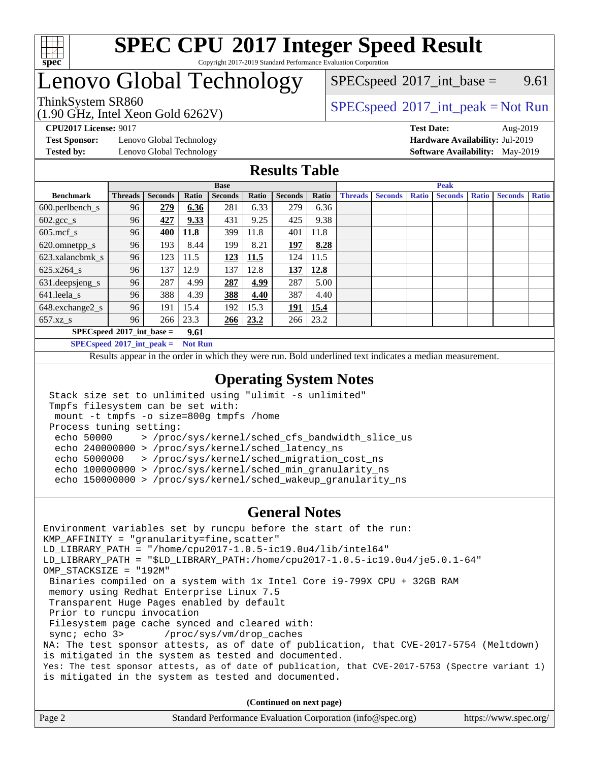

#### **[SPEC CPU](http://www.spec.org/auto/cpu2017/Docs/result-fields.html#SPECCPU2017IntegerSpeedResult)[2017 Integer Speed Result](http://www.spec.org/auto/cpu2017/Docs/result-fields.html#SPECCPU2017IntegerSpeedResult)** Copyright 2017-2019 Standard Performance Evaluation Corporation

## Lenovo Global Technology

 $SPEC speed^{\circ}2017\_int\_base =$  9.61

### ThinkSystem SR860<br>  $\begin{array}{c}\n\text{SPEC speed} \textdegree 2017\_int\_peak = Not Run\n\end{array}$

**[Test Sponsor:](http://www.spec.org/auto/cpu2017/Docs/result-fields.html#TestSponsor)** Lenovo Global Technology **[Hardware Availability:](http://www.spec.org/auto/cpu2017/Docs/result-fields.html#HardwareAvailability)** Jul-2019

(1.90 GHz, Intel Xeon Gold 6262V)

**[CPU2017 License:](http://www.spec.org/auto/cpu2017/Docs/result-fields.html#CPU2017License)** 9017 **[Test Date:](http://www.spec.org/auto/cpu2017/Docs/result-fields.html#TestDate)** Aug-2019 **[Tested by:](http://www.spec.org/auto/cpu2017/Docs/result-fields.html#Testedby)** Lenovo Global Technology **[Software Availability:](http://www.spec.org/auto/cpu2017/Docs/result-fields.html#SoftwareAvailability)** May-2019

### **[Results Table](http://www.spec.org/auto/cpu2017/Docs/result-fields.html#ResultsTable)**

|                               |                |                |       | <b>Base</b>    |       |                |       |                |                |              | <b>Peak</b>    |              |                |              |
|-------------------------------|----------------|----------------|-------|----------------|-------|----------------|-------|----------------|----------------|--------------|----------------|--------------|----------------|--------------|
| <b>Benchmark</b>              | <b>Threads</b> | <b>Seconds</b> | Ratio | <b>Seconds</b> | Ratio | <b>Seconds</b> | Ratio | <b>Threads</b> | <b>Seconds</b> | <b>Ratio</b> | <b>Seconds</b> | <b>Ratio</b> | <b>Seconds</b> | <b>Ratio</b> |
| $600.$ perlbench $\mathsf{S}$ | 96             | 279            | 6.36  | 281            | 6.33  | 279            | 6.36  |                |                |              |                |              |                |              |
| $602.\text{gcc}\_\text{s}$    | 96             | 427            | 9.33  | 431            | 9.25  | 425            | 9.38  |                |                |              |                |              |                |              |
| $605$ .mcf s                  | 96             | 400            | 11.8  | 399            | 11.8  | 401            | 11.8  |                |                |              |                |              |                |              |
| 620.omnetpp_s                 | 96             | 193            | 8.44  | 199            | 8.21  | 197            | 8.28  |                |                |              |                |              |                |              |
| 623.xalancbmk s               | 96             | 123            | 11.5  | 123            | 11.5  | 124            | 11.5  |                |                |              |                |              |                |              |
| 625.x264 s                    | 96             | 137            | 12.9  | 137            | 12.8  | 137            | 12.8  |                |                |              |                |              |                |              |
| 631.deepsjeng_s               | 96             | 287            | 4.99  | 287            | 4.99  | 287            | 5.00  |                |                |              |                |              |                |              |
| $641$ .leela_s                | 96             | 388            | 4.39  | 388            | 4.40  | 387            | 4.40  |                |                |              |                |              |                |              |
| 648.exchange2_s               | 96             | 191            | 15.4  | 192            | 15.3  | <u> 191</u>    | 15.4  |                |                |              |                |              |                |              |
| 657.xz s                      | 96             | 266            | 23.3  | 266            | 23.2  | 266            | 23.2  |                |                |              |                |              |                |              |
| $SPECspeed*2017$ int base =   |                |                | 9.61  |                |       |                |       |                |                |              |                |              |                |              |

**[SPECspeed](http://www.spec.org/auto/cpu2017/Docs/result-fields.html#SPECspeed2017intpeak)[2017\\_int\\_peak =](http://www.spec.org/auto/cpu2017/Docs/result-fields.html#SPECspeed2017intpeak) Not Run**

Results appear in the [order in which they were run.](http://www.spec.org/auto/cpu2017/Docs/result-fields.html#RunOrder) Bold underlined text [indicates a median measurement.](http://www.spec.org/auto/cpu2017/Docs/result-fields.html#Median)

#### **[Operating System Notes](http://www.spec.org/auto/cpu2017/Docs/result-fields.html#OperatingSystemNotes)**

 Stack size set to unlimited using "ulimit -s unlimited" Tmpfs filesystem can be set with: mount -t tmpfs -o size=800g tmpfs /home Process tuning setting: echo 50000 > /proc/sys/kernel/sched\_cfs\_bandwidth\_slice\_us echo 240000000 > /proc/sys/kernel/sched\_latency\_ns echo 5000000 > /proc/sys/kernel/sched\_migration\_cost\_ns echo 100000000 > /proc/sys/kernel/sched min granularity ns echo 150000000 > /proc/sys/kernel/sched\_wakeup\_granularity\_ns

#### **[General Notes](http://www.spec.org/auto/cpu2017/Docs/result-fields.html#GeneralNotes)**

Environment variables set by runcpu before the start of the run: KMP\_AFFINITY = "granularity=fine,scatter" LD\_LIBRARY\_PATH = "/home/cpu2017-1.0.5-ic19.0u4/lib/intel64" LD\_LIBRARY\_PATH = "\$LD\_LIBRARY\_PATH:/home/cpu2017-1.0.5-ic19.0u4/je5.0.1-64" OMP\_STACKSIZE = "192M" Binaries compiled on a system with 1x Intel Core i9-799X CPU + 32GB RAM memory using Redhat Enterprise Linux 7.5 Transparent Huge Pages enabled by default Prior to runcpu invocation Filesystem page cache synced and cleared with: sync; echo 3> /proc/sys/vm/drop\_caches NA: The test sponsor attests, as of date of publication, that CVE-2017-5754 (Meltdown) is mitigated in the system as tested and documented. Yes: The test sponsor attests, as of date of publication, that CVE-2017-5753 (Spectre variant 1) is mitigated in the system as tested and documented.

**(Continued on next page)**

| Page 2<br>Standard Performance Evaluation Corporation (info@spec.org)<br>https://www.spec.org/ |
|------------------------------------------------------------------------------------------------|
|------------------------------------------------------------------------------------------------|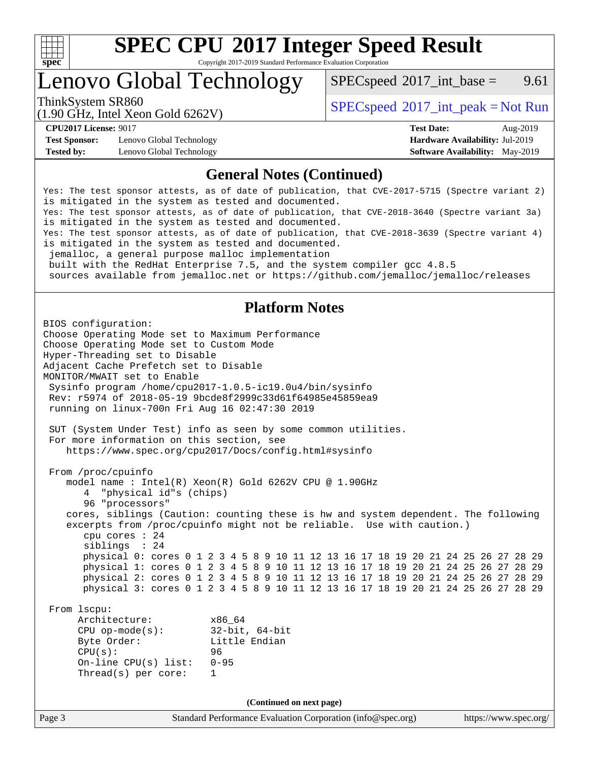

Copyright 2017-2019 Standard Performance Evaluation Corporation

Lenovo Global Technology

 $SPEC speed^{\circ}2017\_int\_base =$  9.61

(1.90 GHz, Intel Xeon Gold 6262V)

ThinkSystem SR860<br>  $SPEC speed^{\circ}2017\_int\_peak = Not Run$ 

**[Test Sponsor:](http://www.spec.org/auto/cpu2017/Docs/result-fields.html#TestSponsor)** Lenovo Global Technology **[Hardware Availability:](http://www.spec.org/auto/cpu2017/Docs/result-fields.html#HardwareAvailability)** Jul-2019 **[Tested by:](http://www.spec.org/auto/cpu2017/Docs/result-fields.html#Testedby)** Lenovo Global Technology **[Software Availability:](http://www.spec.org/auto/cpu2017/Docs/result-fields.html#SoftwareAvailability)** May-2019

**[CPU2017 License:](http://www.spec.org/auto/cpu2017/Docs/result-fields.html#CPU2017License)** 9017 **[Test Date:](http://www.spec.org/auto/cpu2017/Docs/result-fields.html#TestDate)** Aug-2019

### **[General Notes \(Continued\)](http://www.spec.org/auto/cpu2017/Docs/result-fields.html#GeneralNotes)**

Page 3 Standard Performance Evaluation Corporation [\(info@spec.org\)](mailto:info@spec.org) <https://www.spec.org/> Yes: The test sponsor attests, as of date of publication, that CVE-2017-5715 (Spectre variant 2) is mitigated in the system as tested and documented. Yes: The test sponsor attests, as of date of publication, that CVE-2018-3640 (Spectre variant 3a) is mitigated in the system as tested and documented. Yes: The test sponsor attests, as of date of publication, that CVE-2018-3639 (Spectre variant 4) is mitigated in the system as tested and documented. jemalloc, a general purpose malloc implementation built with the RedHat Enterprise 7.5, and the system compiler gcc 4.8.5 sources available from jemalloc.net or<https://github.com/jemalloc/jemalloc/releases> **[Platform Notes](http://www.spec.org/auto/cpu2017/Docs/result-fields.html#PlatformNotes)** BIOS configuration: Choose Operating Mode set to Maximum Performance Choose Operating Mode set to Custom Mode Hyper-Threading set to Disable Adjacent Cache Prefetch set to Disable MONITOR/MWAIT set to Enable Sysinfo program /home/cpu2017-1.0.5-ic19.0u4/bin/sysinfo Rev: r5974 of 2018-05-19 9bcde8f2999c33d61f64985e45859ea9 running on linux-700n Fri Aug 16 02:47:30 2019 SUT (System Under Test) info as seen by some common utilities. For more information on this section, see <https://www.spec.org/cpu2017/Docs/config.html#sysinfo> From /proc/cpuinfo model name : Intel(R) Xeon(R) Gold 6262V CPU @ 1.90GHz 4 "physical id"s (chips) 96 "processors" cores, siblings (Caution: counting these is hw and system dependent. The following excerpts from /proc/cpuinfo might not be reliable. Use with caution.) cpu cores : 24 siblings : 24 physical 0: cores 0 1 2 3 4 5 8 9 10 11 12 13 16 17 18 19 20 21 24 25 26 27 28 29 physical 1: cores 0 1 2 3 4 5 8 9 10 11 12 13 16 17 18 19 20 21 24 25 26 27 28 29 physical 2: cores 0 1 2 3 4 5 8 9 10 11 12 13 16 17 18 19 20 21 24 25 26 27 28 29 physical 3: cores 0 1 2 3 4 5 8 9 10 11 12 13 16 17 18 19 20 21 24 25 26 27 28 29 From lscpu: Architecture: x86\_64 CPU op-mode(s): 32-bit, 64-bit Byte Order: Little Endian CPU(s): 96 On-line CPU(s) list: 0-95 Thread(s) per core: 1 **(Continued on next page)**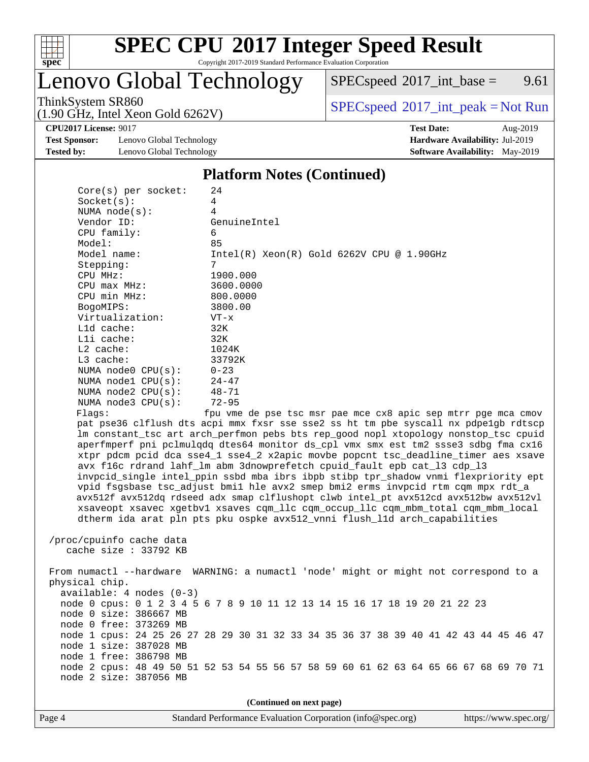

Copyright 2017-2019 Standard Performance Evaluation Corporation

Lenovo Global Technology

 $SPECspeed^{\circ}2017\_int\_base =$  $SPECspeed^{\circ}2017\_int\_base =$  9.61

(1.90 GHz, Intel Xeon Gold 6262V)

ThinkSystem SR860<br>(1.00 GHz, Intel Year Gald 6262V) [SPECspeed](http://www.spec.org/auto/cpu2017/Docs/result-fields.html#SPECspeed2017intpeak)<sup>®</sup>[2017\\_int\\_peak = N](http://www.spec.org/auto/cpu2017/Docs/result-fields.html#SPECspeed2017intpeak)ot Run

**[CPU2017 License:](http://www.spec.org/auto/cpu2017/Docs/result-fields.html#CPU2017License)** 9017 **[Test Date:](http://www.spec.org/auto/cpu2017/Docs/result-fields.html#TestDate)** Aug-2019

**[Test Sponsor:](http://www.spec.org/auto/cpu2017/Docs/result-fields.html#TestSponsor)** Lenovo Global Technology **[Hardware Availability:](http://www.spec.org/auto/cpu2017/Docs/result-fields.html#HardwareAvailability)** Jul-2019 **[Tested by:](http://www.spec.org/auto/cpu2017/Docs/result-fields.html#Testedby)** Lenovo Global Technology **[Software Availability:](http://www.spec.org/auto/cpu2017/Docs/result-fields.html#SoftwareAvailability)** May-2019

**[Platform Notes \(Continued\)](http://www.spec.org/auto/cpu2017/Docs/result-fields.html#PlatformNotes)**

| Core(s) per socket:        | 24                                                                                   |
|----------------------------|--------------------------------------------------------------------------------------|
| Socket(s):                 | $\overline{4}$                                                                       |
| NUMA $node(s):$            | 4                                                                                    |
| Vendor ID:                 | GenuineIntel                                                                         |
| CPU family:                | 6                                                                                    |
| Model:                     | 85                                                                                   |
| Model name:                | $Intel(R) Xeon(R) Gold 6262V CPU @ 1.90GHz$                                          |
| Stepping:                  | 7                                                                                    |
| CPU MHz:                   | 1900.000                                                                             |
| $CPU$ max $MHz$ :          | 3600.0000                                                                            |
| CPU min MHz:               | 800.0000                                                                             |
| BogoMIPS:                  | 3800.00                                                                              |
| Virtualization:            | $VT - x$                                                                             |
| L1d cache:                 | 32K                                                                                  |
| Lli cache:                 | 32K                                                                                  |
| $L2$ cache:                | 1024K                                                                                |
| $L3$ cache:                | 33792K                                                                               |
| NUMA node0 CPU(s):         | $0 - 23$                                                                             |
| NUMA nodel $CPU(s):$       | $24 - 47$                                                                            |
| NUMA $node2$ $CPU(s):$     | $48 - 71$                                                                            |
| NUMA node3 CPU(s):         | $72 - 95$                                                                            |
| Flaqs:                     | fpu vme de pse tsc msr pae mce cx8 apic sep mtrr pge mca cmov                        |
|                            | pat pse36 clflush dts acpi mmx fxsr sse sse2 ss ht tm pbe syscall nx pdpe1gb rdtscp  |
|                            | lm constant_tsc art arch_perfmon pebs bts rep_good nopl xtopology nonstop_tsc cpuid  |
|                            | aperfmperf pni pclmulqdq dtes64 monitor ds_cpl vmx smx est tm2 ssse3 sdbg fma cx16   |
|                            | xtpr pdcm pcid dca sse4_1 sse4_2 x2apic movbe popcnt tsc_deadline_timer aes xsave    |
|                            | avx f16c rdrand lahf_lm abm 3dnowprefetch cpuid_fault epb cat_13 cdp_13              |
|                            | invpcid_single intel_ppin ssbd mba ibrs ibpb stibp tpr_shadow vnmi flexpriority ept  |
|                            | vpid fsgsbase tsc_adjust bmil hle avx2 smep bmi2 erms invpcid rtm cqm mpx rdt_a      |
|                            | avx512f avx512dq rdseed adx smap clflushopt clwb intel_pt avx512cd avx512bw avx512vl |
|                            | xsaveopt xsavec xgetbvl xsaves cqm_llc cqm_occup_llc cqm_mbm_total cqm_mbm_local     |
|                            | dtherm ida arat pln pts pku ospke avx512_vnni flush_lld arch_capabilities            |
|                            |                                                                                      |
| /proc/cpuinfo cache data   |                                                                                      |
| cache size : 33792 KB      |                                                                                      |
|                            |                                                                                      |
|                            | From numactl --hardware WARNING: a numactl 'node' might or might not correspond to a |
| physical chip.             |                                                                                      |
| $available: 4 nodes (0-3)$ |                                                                                      |
|                            | node 0 cpus: 0 1 2 3 4 5 6 7 8 9 10 11 12 13 14 15 16 17 18 19 20 21 22 23           |
| node 0 size: 386667 MB     |                                                                                      |
| node 0 free: 373269 MB     |                                                                                      |
|                            | node 1 cpus: 24 25 26 27 28 29 30 31 32 33 34 35 36 37 38 39 40 41 42 43 44 45 46 47 |
| node 1 size: 387028 MB     |                                                                                      |
| node 1 free: 386798 MB     |                                                                                      |
|                            |                                                                                      |
|                            | node 2 cpus: 48 49 50 51 52 53 54 55 56 57 58 59 60 61 62 63 64 65 66 67 68 69 70 71 |
| node 2 size: 387056 MB     |                                                                                      |
|                            |                                                                                      |
|                            | (Continued on next page)                                                             |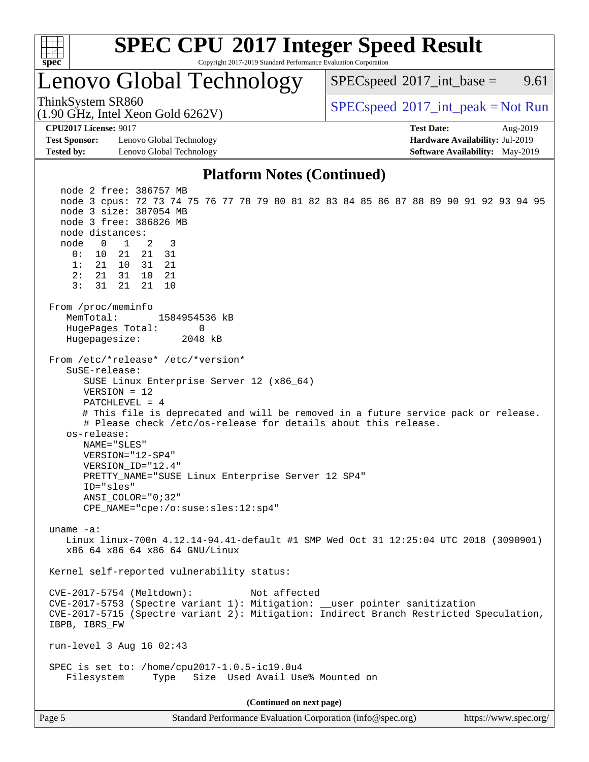

Copyright 2017-2019 Standard Performance Evaluation Corporation

### Lenovo Global Technology

 $SPECspeed^{\circ}2017\_int\_base =$  $SPECspeed^{\circ}2017\_int\_base =$  9.61

(1.90 GHz, Intel Xeon Gold 6262V)

ThinkSystem SR860<br>(1.00 CHz, Intel Year Gald 6262V) [SPECspeed](http://www.spec.org/auto/cpu2017/Docs/result-fields.html#SPECspeed2017intpeak)<sup>®</sup>[2017\\_int\\_peak = N](http://www.spec.org/auto/cpu2017/Docs/result-fields.html#SPECspeed2017intpeak)ot Run

**[Test Sponsor:](http://www.spec.org/auto/cpu2017/Docs/result-fields.html#TestSponsor)** Lenovo Global Technology **[Hardware Availability:](http://www.spec.org/auto/cpu2017/Docs/result-fields.html#HardwareAvailability)** Jul-2019 **[Tested by:](http://www.spec.org/auto/cpu2017/Docs/result-fields.html#Testedby)** Lenovo Global Technology **[Software Availability:](http://www.spec.org/auto/cpu2017/Docs/result-fields.html#SoftwareAvailability)** May-2019

**[CPU2017 License:](http://www.spec.org/auto/cpu2017/Docs/result-fields.html#CPU2017License)** 9017 **[Test Date:](http://www.spec.org/auto/cpu2017/Docs/result-fields.html#TestDate)** Aug-2019

### **[Platform Notes \(Continued\)](http://www.spec.org/auto/cpu2017/Docs/result-fields.html#PlatformNotes)**

 node 2 free: 386757 MB node 3 cpus: 72 73 74 75 76 77 78 79 80 81 82 83 84 85 86 87 88 89 90 91 92 93 94 95 node 3 size: 387054 MB node 3 free: 386826 MB node distances: node 0 1 2 3 0: 10 21 21 31 1: 21 10 31 21 2: 21 31 10 21 3: 31 21 21 10 From /proc/meminfo MemTotal: 1584954536 kB HugePages\_Total: 0 Hugepagesize: 2048 kB From /etc/\*release\* /etc/\*version\* SuSE-release: SUSE Linux Enterprise Server 12 (x86\_64) VERSION = 12 PATCHLEVEL = 4 # This file is deprecated and will be removed in a future service pack or release. # Please check /etc/os-release for details about this release. os-release: NAME="SLES" VERSION="12-SP4" VERSION\_ID="12.4" PRETTY\_NAME="SUSE Linux Enterprise Server 12 SP4" ID="sles" ANSI\_COLOR="0;32" CPE\_NAME="cpe:/o:suse:sles:12:sp4" uname -a: Linux linux-700n 4.12.14-94.41-default #1 SMP Wed Oct 31 12:25:04 UTC 2018 (3090901) x86\_64 x86\_64 x86\_64 GNU/Linux Kernel self-reported vulnerability status: CVE-2017-5754 (Meltdown): Not affected CVE-2017-5753 (Spectre variant 1): Mitigation: \_\_user pointer sanitization CVE-2017-5715 (Spectre variant 2): Mitigation: Indirect Branch Restricted Speculation, IBPB, IBRS\_FW run-level 3 Aug 16 02:43 SPEC is set to: /home/cpu2017-1.0.5-ic19.0u4 Filesystem Type Size Used Avail Use% Mounted on **(Continued on next page)**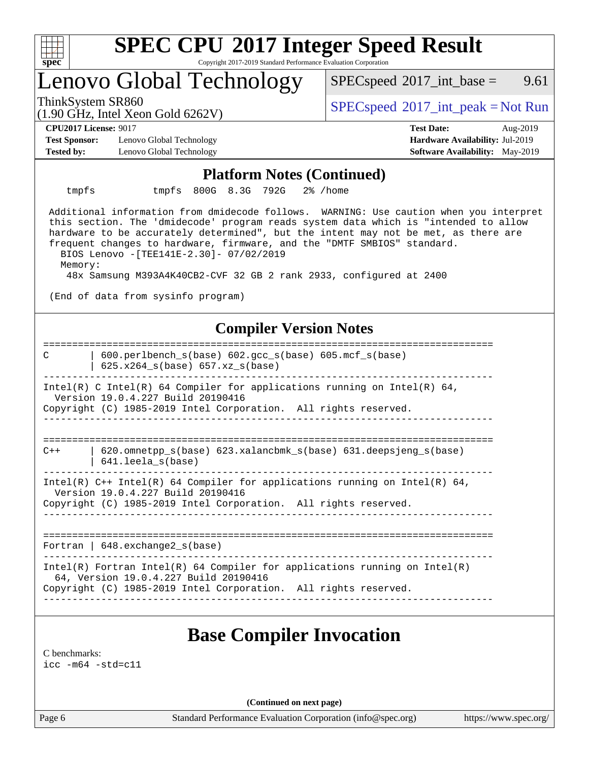

### **[SPEC CPU](http://www.spec.org/auto/cpu2017/Docs/result-fields.html#SPECCPU2017IntegerSpeedResult)[2017 Integer Speed Result](http://www.spec.org/auto/cpu2017/Docs/result-fields.html#SPECCPU2017IntegerSpeedResult)** Copyright 2017-2019 Standard Performance Evaluation Corporation

## Lenovo Global Technology

 $SPECspeed^{\circ}2017\_int\_base =$  $SPECspeed^{\circ}2017\_int\_base =$  9.61

(1.90 GHz, Intel Xeon Gold 6262V)

ThinkSystem SR860<br>(1.00 CHz, Intel Year Gald 6262V) [SPECspeed](http://www.spec.org/auto/cpu2017/Docs/result-fields.html#SPECspeed2017intpeak)<sup>®</sup>[2017\\_int\\_peak = N](http://www.spec.org/auto/cpu2017/Docs/result-fields.html#SPECspeed2017intpeak)ot Run

**[Test Sponsor:](http://www.spec.org/auto/cpu2017/Docs/result-fields.html#TestSponsor)** Lenovo Global Technology **[Hardware Availability:](http://www.spec.org/auto/cpu2017/Docs/result-fields.html#HardwareAvailability)** Jul-2019 **[Tested by:](http://www.spec.org/auto/cpu2017/Docs/result-fields.html#Testedby)** Lenovo Global Technology **[Software Availability:](http://www.spec.org/auto/cpu2017/Docs/result-fields.html#SoftwareAvailability)** May-2019

**[CPU2017 License:](http://www.spec.org/auto/cpu2017/Docs/result-fields.html#CPU2017License)** 9017 **[Test Date:](http://www.spec.org/auto/cpu2017/Docs/result-fields.html#TestDate)** Aug-2019

#### **[Platform Notes \(Continued\)](http://www.spec.org/auto/cpu2017/Docs/result-fields.html#PlatformNotes)**

tmpfs tmpfs 800G 8.3G 792G 2% /home

 Additional information from dmidecode follows. WARNING: Use caution when you interpret this section. The 'dmidecode' program reads system data which is "intended to allow hardware to be accurately determined", but the intent may not be met, as there are frequent changes to hardware, firmware, and the "DMTF SMBIOS" standard. BIOS Lenovo -[TEE141E-2.30]- 07/02/2019

Memory:

48x Samsung M393A4K40CB2-CVF 32 GB 2 rank 2933, configured at 2400

(End of data from sysinfo program)

### **[Compiler Version Notes](http://www.spec.org/auto/cpu2017/Docs/result-fields.html#CompilerVersionNotes)**

============================================================================== C | 600.perlbench\_s(base) 602.gcc\_s(base) 605.mcf\_s(base) | 625.x264\_s(base) 657.xz\_s(base) ------------------------------------------------------------------------------ Intel(R) C Intel(R) 64 Compiler for applications running on Intel(R) 64, Version 19.0.4.227 Build 20190416 Copyright (C) 1985-2019 Intel Corporation. All rights reserved. ------------------------------------------------------------------------------ ==============================================================================  $C++$  | 620.omnetpp s(base) 623.xalancbmk s(base) 631.deepsjeng s(base) | 641.leela\_s(base) ------------------------------------------------------------------------------ Intel(R)  $C++$  Intel(R) 64 Compiler for applications running on Intel(R) 64, Version 19.0.4.227 Build 20190416 Copyright (C) 1985-2019 Intel Corporation. All rights reserved. ------------------------------------------------------------------------------ ============================================================================== Fortran | 648.exchange2 s(base) ------------------------------------------------------------------------------ Intel(R) Fortran Intel(R) 64 Compiler for applications running on Intel(R) 64, Version 19.0.4.227 Build 20190416 Copyright (C) 1985-2019 Intel Corporation. All rights reserved. ------------------------------------------------------------------------------ **[Base Compiler Invocation](http://www.spec.org/auto/cpu2017/Docs/result-fields.html#BaseCompilerInvocation)**

[C benchmarks](http://www.spec.org/auto/cpu2017/Docs/result-fields.html#Cbenchmarks): [icc -m64 -std=c11](http://www.spec.org/cpu2017/results/res2019q3/cpu2017-20190902-17500.flags.html#user_CCbase_intel_icc_64bit_c11_33ee0cdaae7deeeab2a9725423ba97205ce30f63b9926c2519791662299b76a0318f32ddfffdc46587804de3178b4f9328c46fa7c2b0cd779d7a61945c91cd35)

**(Continued on next page)**

Page 6 Standard Performance Evaluation Corporation [\(info@spec.org\)](mailto:info@spec.org) <https://www.spec.org/>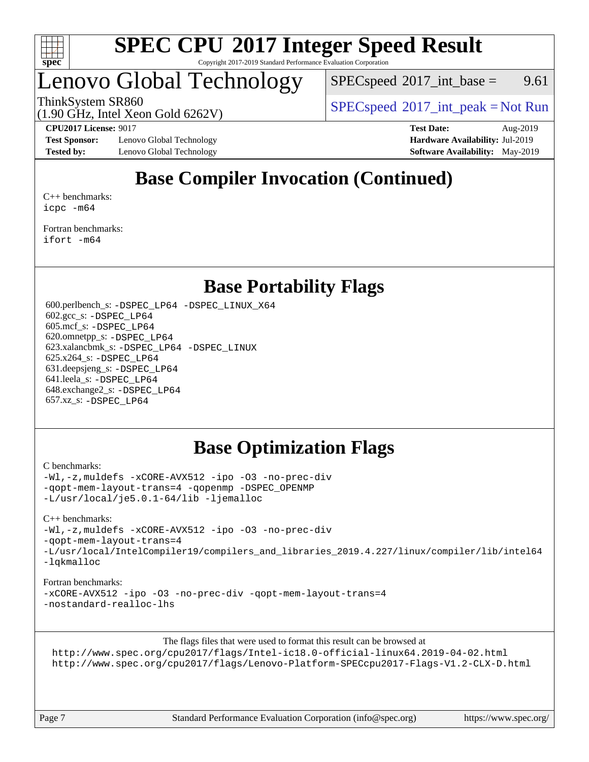

#### **[SPEC CPU](http://www.spec.org/auto/cpu2017/Docs/result-fields.html#SPECCPU2017IntegerSpeedResult)[2017 Integer Speed Result](http://www.spec.org/auto/cpu2017/Docs/result-fields.html#SPECCPU2017IntegerSpeedResult)** Copyright 2017-2019 Standard Performance Evaluation Corporation

### Lenovo Global Technology

 $SPEC speed^{\circ}2017\_int\_base =$  9.61

ThinkSystem SR860<br>  $\begin{array}{c}\n\text{SPEC speed} \textdegree 2017\_int\_peak = Not Run\n\end{array}$ 

(1.90 GHz, Intel Xeon Gold 6262V)

**[Test Sponsor:](http://www.spec.org/auto/cpu2017/Docs/result-fields.html#TestSponsor)** Lenovo Global Technology **[Hardware Availability:](http://www.spec.org/auto/cpu2017/Docs/result-fields.html#HardwareAvailability)** Jul-2019 **[Tested by:](http://www.spec.org/auto/cpu2017/Docs/result-fields.html#Testedby)** Lenovo Global Technology **[Software Availability:](http://www.spec.org/auto/cpu2017/Docs/result-fields.html#SoftwareAvailability)** May-2019

**[CPU2017 License:](http://www.spec.org/auto/cpu2017/Docs/result-fields.html#CPU2017License)** 9017 **[Test Date:](http://www.spec.org/auto/cpu2017/Docs/result-fields.html#TestDate)** Aug-2019

### **[Base Compiler Invocation \(Continued\)](http://www.spec.org/auto/cpu2017/Docs/result-fields.html#BaseCompilerInvocation)**

[C++ benchmarks:](http://www.spec.org/auto/cpu2017/Docs/result-fields.html#CXXbenchmarks) [icpc -m64](http://www.spec.org/cpu2017/results/res2019q3/cpu2017-20190902-17500.flags.html#user_CXXbase_intel_icpc_64bit_4ecb2543ae3f1412ef961e0650ca070fec7b7afdcd6ed48761b84423119d1bf6bdf5cad15b44d48e7256388bc77273b966e5eb805aefd121eb22e9299b2ec9d9)

[Fortran benchmarks](http://www.spec.org/auto/cpu2017/Docs/result-fields.html#Fortranbenchmarks): [ifort -m64](http://www.spec.org/cpu2017/results/res2019q3/cpu2017-20190902-17500.flags.html#user_FCbase_intel_ifort_64bit_24f2bb282fbaeffd6157abe4f878425411749daecae9a33200eee2bee2fe76f3b89351d69a8130dd5949958ce389cf37ff59a95e7a40d588e8d3a57e0c3fd751)

### **[Base Portability Flags](http://www.spec.org/auto/cpu2017/Docs/result-fields.html#BasePortabilityFlags)**

 600.perlbench\_s: [-DSPEC\\_LP64](http://www.spec.org/cpu2017/results/res2019q3/cpu2017-20190902-17500.flags.html#b600.perlbench_s_basePORTABILITY_DSPEC_LP64) [-DSPEC\\_LINUX\\_X64](http://www.spec.org/cpu2017/results/res2019q3/cpu2017-20190902-17500.flags.html#b600.perlbench_s_baseCPORTABILITY_DSPEC_LINUX_X64) 602.gcc\_s: [-DSPEC\\_LP64](http://www.spec.org/cpu2017/results/res2019q3/cpu2017-20190902-17500.flags.html#suite_basePORTABILITY602_gcc_s_DSPEC_LP64) 605.mcf\_s: [-DSPEC\\_LP64](http://www.spec.org/cpu2017/results/res2019q3/cpu2017-20190902-17500.flags.html#suite_basePORTABILITY605_mcf_s_DSPEC_LP64) 620.omnetpp\_s: [-DSPEC\\_LP64](http://www.spec.org/cpu2017/results/res2019q3/cpu2017-20190902-17500.flags.html#suite_basePORTABILITY620_omnetpp_s_DSPEC_LP64) 623.xalancbmk\_s: [-DSPEC\\_LP64](http://www.spec.org/cpu2017/results/res2019q3/cpu2017-20190902-17500.flags.html#suite_basePORTABILITY623_xalancbmk_s_DSPEC_LP64) [-DSPEC\\_LINUX](http://www.spec.org/cpu2017/results/res2019q3/cpu2017-20190902-17500.flags.html#b623.xalancbmk_s_baseCXXPORTABILITY_DSPEC_LINUX) 625.x264\_s: [-DSPEC\\_LP64](http://www.spec.org/cpu2017/results/res2019q3/cpu2017-20190902-17500.flags.html#suite_basePORTABILITY625_x264_s_DSPEC_LP64) 631.deepsjeng\_s: [-DSPEC\\_LP64](http://www.spec.org/cpu2017/results/res2019q3/cpu2017-20190902-17500.flags.html#suite_basePORTABILITY631_deepsjeng_s_DSPEC_LP64) 641.leela\_s: [-DSPEC\\_LP64](http://www.spec.org/cpu2017/results/res2019q3/cpu2017-20190902-17500.flags.html#suite_basePORTABILITY641_leela_s_DSPEC_LP64) 648.exchange2\_s: [-DSPEC\\_LP64](http://www.spec.org/cpu2017/results/res2019q3/cpu2017-20190902-17500.flags.html#suite_basePORTABILITY648_exchange2_s_DSPEC_LP64) 657.xz\_s: [-DSPEC\\_LP64](http://www.spec.org/cpu2017/results/res2019q3/cpu2017-20190902-17500.flags.html#suite_basePORTABILITY657_xz_s_DSPEC_LP64)

### **[Base Optimization Flags](http://www.spec.org/auto/cpu2017/Docs/result-fields.html#BaseOptimizationFlags)**

[C benchmarks](http://www.spec.org/auto/cpu2017/Docs/result-fields.html#Cbenchmarks):

[-Wl,-z,muldefs](http://www.spec.org/cpu2017/results/res2019q3/cpu2017-20190902-17500.flags.html#user_CCbase_link_force_multiple1_b4cbdb97b34bdee9ceefcfe54f4c8ea74255f0b02a4b23e853cdb0e18eb4525ac79b5a88067c842dd0ee6996c24547a27a4b99331201badda8798ef8a743f577) [-xCORE-AVX512](http://www.spec.org/cpu2017/results/res2019q3/cpu2017-20190902-17500.flags.html#user_CCbase_f-xCORE-AVX512) [-ipo](http://www.spec.org/cpu2017/results/res2019q3/cpu2017-20190902-17500.flags.html#user_CCbase_f-ipo) [-O3](http://www.spec.org/cpu2017/results/res2019q3/cpu2017-20190902-17500.flags.html#user_CCbase_f-O3) [-no-prec-div](http://www.spec.org/cpu2017/results/res2019q3/cpu2017-20190902-17500.flags.html#user_CCbase_f-no-prec-div) [-qopt-mem-layout-trans=4](http://www.spec.org/cpu2017/results/res2019q3/cpu2017-20190902-17500.flags.html#user_CCbase_f-qopt-mem-layout-trans_fa39e755916c150a61361b7846f310bcdf6f04e385ef281cadf3647acec3f0ae266d1a1d22d972a7087a248fd4e6ca390a3634700869573d231a252c784941a8) [-qopenmp](http://www.spec.org/cpu2017/results/res2019q3/cpu2017-20190902-17500.flags.html#user_CCbase_qopenmp_16be0c44f24f464004c6784a7acb94aca937f053568ce72f94b139a11c7c168634a55f6653758ddd83bcf7b8463e8028bb0b48b77bcddc6b78d5d95bb1df2967) [-DSPEC\\_OPENMP](http://www.spec.org/cpu2017/results/res2019q3/cpu2017-20190902-17500.flags.html#suite_CCbase_DSPEC_OPENMP) [-L/usr/local/je5.0.1-64/lib](http://www.spec.org/cpu2017/results/res2019q3/cpu2017-20190902-17500.flags.html#user_CCbase_jemalloc_link_path64_4b10a636b7bce113509b17f3bd0d6226c5fb2346b9178c2d0232c14f04ab830f976640479e5c33dc2bcbbdad86ecfb6634cbbd4418746f06f368b512fced5394) [-ljemalloc](http://www.spec.org/cpu2017/results/res2019q3/cpu2017-20190902-17500.flags.html#user_CCbase_jemalloc_link_lib_d1249b907c500fa1c0672f44f562e3d0f79738ae9e3c4a9c376d49f265a04b9c99b167ecedbf6711b3085be911c67ff61f150a17b3472be731631ba4d0471706)

[C++ benchmarks:](http://www.spec.org/auto/cpu2017/Docs/result-fields.html#CXXbenchmarks)

[-Wl,-z,muldefs](http://www.spec.org/cpu2017/results/res2019q3/cpu2017-20190902-17500.flags.html#user_CXXbase_link_force_multiple1_b4cbdb97b34bdee9ceefcfe54f4c8ea74255f0b02a4b23e853cdb0e18eb4525ac79b5a88067c842dd0ee6996c24547a27a4b99331201badda8798ef8a743f577) [-xCORE-AVX512](http://www.spec.org/cpu2017/results/res2019q3/cpu2017-20190902-17500.flags.html#user_CXXbase_f-xCORE-AVX512) [-ipo](http://www.spec.org/cpu2017/results/res2019q3/cpu2017-20190902-17500.flags.html#user_CXXbase_f-ipo) [-O3](http://www.spec.org/cpu2017/results/res2019q3/cpu2017-20190902-17500.flags.html#user_CXXbase_f-O3) [-no-prec-div](http://www.spec.org/cpu2017/results/res2019q3/cpu2017-20190902-17500.flags.html#user_CXXbase_f-no-prec-div)

[-qopt-mem-layout-trans=4](http://www.spec.org/cpu2017/results/res2019q3/cpu2017-20190902-17500.flags.html#user_CXXbase_f-qopt-mem-layout-trans_fa39e755916c150a61361b7846f310bcdf6f04e385ef281cadf3647acec3f0ae266d1a1d22d972a7087a248fd4e6ca390a3634700869573d231a252c784941a8)

[-L/usr/local/IntelCompiler19/compilers\\_and\\_libraries\\_2019.4.227/linux/compiler/lib/intel64](http://www.spec.org/cpu2017/results/res2019q3/cpu2017-20190902-17500.flags.html#user_CXXbase_qkmalloc_link_0ffe0cb02c68ef1b443a077c7888c10c67ca0d1dd7138472156f06a085bbad385f78d49618ad55dca9db3b1608e84afc2f69b4003b1d1ca498a9fc1462ccefda) [-lqkmalloc](http://www.spec.org/cpu2017/results/res2019q3/cpu2017-20190902-17500.flags.html#user_CXXbase_qkmalloc_link_lib_79a818439969f771c6bc311cfd333c00fc099dad35c030f5aab9dda831713d2015205805422f83de8875488a2991c0a156aaa600e1f9138f8fc37004abc96dc5)

#### [Fortran benchmarks:](http://www.spec.org/auto/cpu2017/Docs/result-fields.html#Fortranbenchmarks)

[-xCORE-AVX512](http://www.spec.org/cpu2017/results/res2019q3/cpu2017-20190902-17500.flags.html#user_FCbase_f-xCORE-AVX512) [-ipo](http://www.spec.org/cpu2017/results/res2019q3/cpu2017-20190902-17500.flags.html#user_FCbase_f-ipo) [-O3](http://www.spec.org/cpu2017/results/res2019q3/cpu2017-20190902-17500.flags.html#user_FCbase_f-O3) [-no-prec-div](http://www.spec.org/cpu2017/results/res2019q3/cpu2017-20190902-17500.flags.html#user_FCbase_f-no-prec-div) [-qopt-mem-layout-trans=4](http://www.spec.org/cpu2017/results/res2019q3/cpu2017-20190902-17500.flags.html#user_FCbase_f-qopt-mem-layout-trans_fa39e755916c150a61361b7846f310bcdf6f04e385ef281cadf3647acec3f0ae266d1a1d22d972a7087a248fd4e6ca390a3634700869573d231a252c784941a8) [-nostandard-realloc-lhs](http://www.spec.org/cpu2017/results/res2019q3/cpu2017-20190902-17500.flags.html#user_FCbase_f_2003_std_realloc_82b4557e90729c0f113870c07e44d33d6f5a304b4f63d4c15d2d0f1fab99f5daaed73bdb9275d9ae411527f28b936061aa8b9c8f2d63842963b95c9dd6426b8a)

[The flags files that were used to format this result can be browsed at](tmsearch) <http://www.spec.org/cpu2017/flags/Intel-ic18.0-official-linux64.2019-04-02.html> <http://www.spec.org/cpu2017/flags/Lenovo-Platform-SPECcpu2017-Flags-V1.2-CLX-D.html>